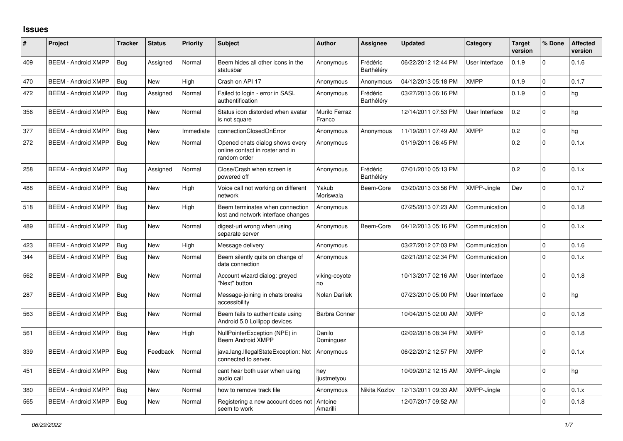## **Issues**

| $\#$ | Project                    | <b>Tracker</b> | <b>Status</b> | <b>Priority</b> | <b>Subject</b>                                                                     | <b>Author</b>           | <b>Assignee</b>        | <b>Updated</b>      | Category       | <b>Target</b><br>version | % Done      | <b>Affected</b><br>version |
|------|----------------------------|----------------|---------------|-----------------|------------------------------------------------------------------------------------|-------------------------|------------------------|---------------------|----------------|--------------------------|-------------|----------------------------|
| 409  | <b>BEEM - Android XMPP</b> | Bug            | Assigned      | Normal          | Beem hides all other icons in the<br>statusbar                                     | Anonymous               | Frédéric<br>Barthéléry | 06/22/2012 12:44 PM | User Interface | 0.1.9                    | $\Omega$    | 0.1.6                      |
| 470  | <b>BEEM - Android XMPP</b> | Bug            | <b>New</b>    | High            | Crash on API 17                                                                    | Anonymous               | Anonymous              | 04/12/2013 05:18 PM | <b>XMPP</b>    | 0.1.9                    | $\Omega$    | 0.1.7                      |
| 472  | <b>BEEM - Android XMPP</b> | Bug            | Assigned      | Normal          | Failed to login - error in SASL<br>authentification                                | Anonymous               | Frédéric<br>Barthéléry | 03/27/2013 06:16 PM |                | 0.1.9                    | $\Omega$    | hg                         |
| 356  | <b>BEEM - Android XMPP</b> | Bug            | <b>New</b>    | Normal          | Status icon distorded when avatar<br>is not square                                 | Murilo Ferraz<br>Franco |                        | 12/14/2011 07:53 PM | User Interface | 0.2                      | $\Omega$    | hg                         |
| 377  | <b>BEEM - Android XMPP</b> | Bug            | New           | Immediate       | connectionClosedOnError                                                            | Anonymous               | Anonymous              | 11/19/2011 07:49 AM | <b>XMPP</b>    | 0.2                      | $\mathbf 0$ | hg                         |
| 272  | <b>BEEM - Android XMPP</b> | Bug            | New           | Normal          | Opened chats dialog shows every<br>online contact in roster and in<br>random order | Anonymous               |                        | 01/19/2011 06:45 PM |                | 0.2                      | $\Omega$    | 0.1.x                      |
| 258  | <b>BEEM - Android XMPP</b> | Bug            | Assigned      | Normal          | Close/Crash when screen is<br>powered off                                          | Anonymous               | Frédéric<br>Barthéléry | 07/01/2010 05:13 PM |                | 0.2                      | $\Omega$    | 0.1.x                      |
| 488  | <b>BEEM - Android XMPP</b> | Bug            | <b>New</b>    | High            | Voice call not working on different<br>network                                     | Yakub<br>Moriswala      | Beem-Core              | 03/20/2013 03:56 PM | XMPP-Jingle    | Dev                      | $\Omega$    | 0.1.7                      |
| 518  | <b>BEEM - Android XMPP</b> | Bug            | New           | High            | Beem terminates when connection<br>lost and network interface changes              | Anonymous               |                        | 07/25/2013 07:23 AM | Communication  |                          | $\Omega$    | 0.1.8                      |
| 489  | <b>BEEM - Android XMPP</b> | Bug            | New           | Normal          | digest-uri wrong when using<br>separate server                                     | Anonymous               | Beem-Core              | 04/12/2013 05:16 PM | Communication  |                          | $\Omega$    | 0.1.x                      |
| 423  | <b>BEEM - Android XMPP</b> | Bug            | <b>New</b>    | High            | Message delivery                                                                   | Anonymous               |                        | 03/27/2012 07:03 PM | Communication  |                          | $\Omega$    | 0.1.6                      |
| 344  | <b>BEEM - Android XMPP</b> | Bug            | New           | Normal          | Beem silently quits on change of<br>data connection                                | Anonymous               |                        | 02/21/2012 02:34 PM | Communication  |                          | $\Omega$    | 0.1.x                      |
| 562  | <b>BEEM - Android XMPP</b> | Bug            | New           | Normal          | Account wizard dialog: greyed<br>"Next" button                                     | viking-coyote<br>no     |                        | 10/13/2017 02:16 AM | User Interface |                          | $\Omega$    | 0.1.8                      |
| 287  | <b>BEEM - Android XMPP</b> | Bug            | <b>New</b>    | Normal          | Message-joining in chats breaks<br>accessibility                                   | Nolan Darilek           |                        | 07/23/2010 05:00 PM | User Interface |                          | $\Omega$    | hg                         |
| 563  | <b>BEEM - Android XMPP</b> | Bug            | <b>New</b>    | Normal          | Beem fails to authenticate using<br>Android 5.0 Lollipop devices                   | <b>Barbra Conner</b>    |                        | 10/04/2015 02:00 AM | <b>XMPP</b>    |                          | $\Omega$    | 0.1.8                      |
| 561  | <b>BEEM - Android XMPP</b> | Bug            | <b>New</b>    | High            | NullPointerException (NPE) in<br><b>Beem Android XMPP</b>                          | Danilo<br>Dominguez     |                        | 02/02/2018 08:34 PM | <b>XMPP</b>    |                          | $\Omega$    | 0.1.8                      |
| 339  | <b>BEEM - Android XMPP</b> | Bug            | Feedback      | Normal          | java.lang.IllegalStateException: Not<br>connected to server.                       | Anonymous               |                        | 06/22/2012 12:57 PM | <b>XMPP</b>    |                          | $\Omega$    | 0.1.x                      |
| 451  | <b>BEEM - Android XMPP</b> | Bug            | New           | Normal          | cant hear both user when using<br>audio call                                       | hey<br>ijustmetyou      |                        | 10/09/2012 12:15 AM | XMPP-Jingle    |                          | $\mathbf 0$ | hg                         |
| 380  | <b>BEEM - Android XMPP</b> | Bug            | New           | Normal          | how to remove track file                                                           | Anonymous               | Nikita Kozlov          | 12/13/2011 09:33 AM | XMPP-Jingle    |                          | $\Omega$    | 0.1.x                      |
| 565  | <b>BEEM - Android XMPP</b> | Bug            | New           | Normal          | Registering a new account does not<br>seem to work                                 | Antoine<br>Amarilli     |                        | 12/07/2017 09:52 AM |                |                          | $\Omega$    | 0.1.8                      |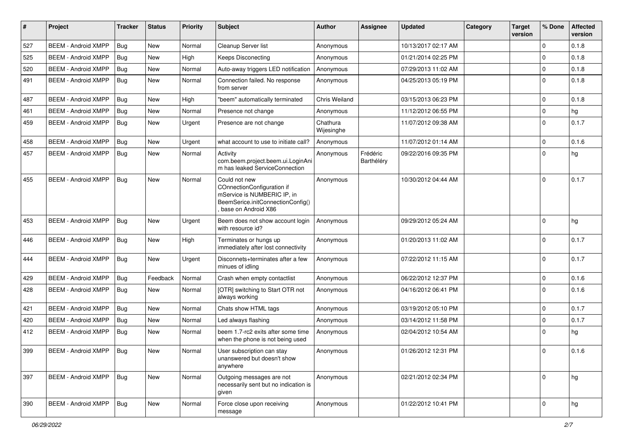| #   | Project                    | <b>Tracker</b> | <b>Status</b> | <b>Priority</b> | Subject                                                                                                                                | <b>Author</b>          | Assignee               | <b>Updated</b>      | Category | <b>Target</b><br>version | % Done      | <b>Affected</b><br>version |
|-----|----------------------------|----------------|---------------|-----------------|----------------------------------------------------------------------------------------------------------------------------------------|------------------------|------------------------|---------------------|----------|--------------------------|-------------|----------------------------|
| 527 | <b>BEEM - Android XMPP</b> | Bug            | <b>New</b>    | Normal          | Cleanup Server list                                                                                                                    | Anonymous              |                        | 10/13/2017 02:17 AM |          |                          | $\Omega$    | 0.1.8                      |
| 525 | <b>BEEM - Android XMPP</b> | Bug            | New           | High            | <b>Keeps Disconecting</b>                                                                                                              | Anonymous              |                        | 01/21/2014 02:25 PM |          |                          | $\mathbf 0$ | 0.1.8                      |
| 520 | <b>BEEM - Android XMPP</b> | <b>Bug</b>     | New           | Normal          | Auto-away triggers LED notification                                                                                                    | Anonymous              |                        | 07/29/2013 11:02 AM |          |                          | $\mathbf 0$ | 0.1.8                      |
| 491 | <b>BEEM - Android XMPP</b> | Bug            | New           | Normal          | Connection failed. No response<br>from server                                                                                          | Anonymous              |                        | 04/25/2013 05:19 PM |          |                          | $\Omega$    | 0.1.8                      |
| 487 | <b>BEEM - Android XMPP</b> | Bug            | New           | High            | "beem" automatically terminated                                                                                                        | Chris Weiland          |                        | 03/15/2013 06:23 PM |          |                          | $\Omega$    | 0.1.8                      |
| 461 | <b>BEEM - Android XMPP</b> | Bug            | <b>New</b>    | Normal          | Presence not change                                                                                                                    | Anonymous              |                        | 11/12/2012 06:55 PM |          |                          | $\mathbf 0$ | hg                         |
| 459 | <b>BEEM - Android XMPP</b> | Bug            | New           | Urgent          | Presence are not change                                                                                                                | Chathura<br>Wijesinghe |                        | 11/07/2012 09:38 AM |          |                          | $\Omega$    | 0.1.7                      |
| 458 | <b>BEEM - Android XMPP</b> | Bug            | New           | Urgent          | what account to use to initiate call?                                                                                                  | Anonymous              |                        | 11/07/2012 01:14 AM |          |                          | $\mathbf 0$ | 0.1.6                      |
| 457 | <b>BEEM - Android XMPP</b> | <b>Bug</b>     | New           | Normal          | Activity<br>com.beem.project.beem.ui.LoginAni<br>m has leaked ServiceConnection                                                        | Anonymous              | Frédéric<br>Barthéléry | 09/22/2016 09:35 PM |          |                          | $\Omega$    | hg                         |
| 455 | <b>BEEM - Android XMPP</b> | <b>Bug</b>     | <b>New</b>    | Normal          | Could not new<br>COnnectionConfiguration if<br>mService is NUMBERIC IP, in<br>BeemSerice.initConnectionConfig()<br>base on Android X86 | Anonymous              |                        | 10/30/2012 04:44 AM |          |                          | $\Omega$    | 0.1.7                      |
| 453 | <b>BEEM - Android XMPP</b> | Bug            | <b>New</b>    | Urgent          | Beem does not show account login<br>with resource id?                                                                                  | Anonymous              |                        | 09/29/2012 05:24 AM |          |                          | $\Omega$    | hg                         |
| 446 | <b>BEEM - Android XMPP</b> | <b>Bug</b>     | New           | High            | Terminates or hungs up<br>immediately after lost connectivity                                                                          | Anonymous              |                        | 01/20/2013 11:02 AM |          |                          | $\Omega$    | 0.1.7                      |
| 444 | <b>BEEM - Android XMPP</b> | Bug            | New           | Urgent          | Disconnets+terminates after a few<br>minues of idling                                                                                  | Anonymous              |                        | 07/22/2012 11:15 AM |          |                          | $\Omega$    | 0.1.7                      |
| 429 | <b>BEEM - Android XMPP</b> | Bug            | Feedback      | Normal          | Crash when empty contactlist                                                                                                           | Anonymous              |                        | 06/22/2012 12:37 PM |          |                          | $\mathbf 0$ | 0.1.6                      |
| 428 | <b>BEEM - Android XMPP</b> | Bug            | <b>New</b>    | Normal          | [OTR] switching to Start OTR not<br>always working                                                                                     | Anonymous              |                        | 04/16/2012 06:41 PM |          |                          | $\Omega$    | 0.1.6                      |
| 421 | <b>BEEM - Android XMPP</b> | Bug            | New           | Normal          | Chats show HTML tags                                                                                                                   | Anonymous              |                        | 03/19/2012 05:10 PM |          |                          | $\mathbf 0$ | 0.1.7                      |
| 420 | <b>BEEM - Android XMPP</b> | Bug            | New           | Normal          | Led always flashing                                                                                                                    | Anonymous              |                        | 03/14/2012 11:58 PM |          |                          | $\mathbf 0$ | 0.1.7                      |
| 412 | <b>BEEM - Android XMPP</b> | Bug            | New           | Normal          | beem 1.7-rc2 exits after some time<br>when the phone is not being used                                                                 | Anonymous              |                        | 02/04/2012 10:54 AM |          |                          | $\Omega$    | hg                         |
| 399 | <b>BEEM - Android XMPP</b> | Bug            | <b>New</b>    | Normal          | User subscription can stay<br>unanswered but doesn't show<br>anywhere                                                                  | Anonymous              |                        | 01/26/2012 12:31 PM |          |                          | $\Omega$    | 0.1.6                      |
| 397 | <b>BEEM - Android XMPP</b> | Bug            | New           | Normal          | Outgoing messages are not<br>necessarily sent but no indication is<br>given                                                            | Anonymous              |                        | 02/21/2012 02:34 PM |          |                          | $\Omega$    | hg                         |
| 390 | <b>BEEM - Android XMPP</b> | Bug            | New           | Normal          | Force close upon receiving<br>message                                                                                                  | Anonymous              |                        | 01/22/2012 10:41 PM |          |                          | $\Omega$    | hg                         |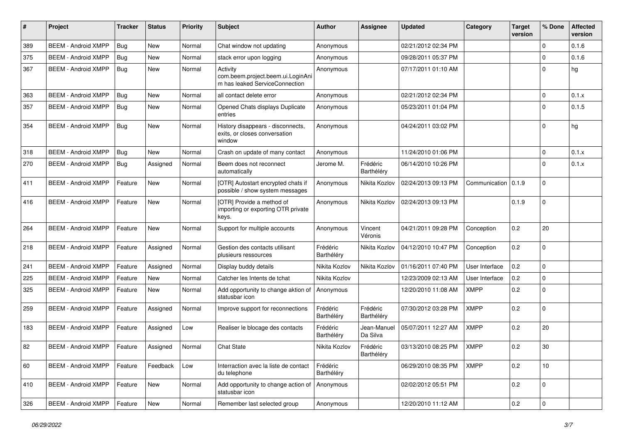| #   | Project                    | <b>Tracker</b> | <b>Status</b> | <b>Priority</b> | Subject                                                                         | <b>Author</b>          | Assignee                      | <b>Updated</b>      | Category       | <b>Target</b><br>version | % Done      | <b>Affected</b><br>version |
|-----|----------------------------|----------------|---------------|-----------------|---------------------------------------------------------------------------------|------------------------|-------------------------------|---------------------|----------------|--------------------------|-------------|----------------------------|
| 389 | <b>BEEM - Android XMPP</b> | Bug            | New           | Normal          | Chat window not updating                                                        | Anonymous              |                               | 02/21/2012 02:34 PM |                |                          | $\mathbf 0$ | 0.1.6                      |
| 375 | <b>BEEM - Android XMPP</b> | <b>Bug</b>     | New           | Normal          | stack error upon logging                                                        | Anonymous              |                               | 09/28/2011 05:37 PM |                |                          | $\mathbf 0$ | 0.1.6                      |
| 367 | <b>BEEM - Android XMPP</b> | <b>Bug</b>     | New           | Normal          | Activity<br>com.beem.project.beem.ui.LoginAni<br>m has leaked ServiceConnection | Anonymous              |                               | 07/17/2011 01:10 AM |                |                          | $\Omega$    | hg                         |
| 363 | <b>BEEM - Android XMPP</b> | Bug            | <b>New</b>    | Normal          | all contact delete error                                                        | Anonymous              |                               | 02/21/2012 02:34 PM |                |                          | $\mathbf 0$ | 0.1.x                      |
| 357 | <b>BEEM - Android XMPP</b> | <b>Bug</b>     | New           | Normal          | Opened Chats displays Duplicate<br>entries                                      | Anonymous              |                               | 05/23/2011 01:04 PM |                |                          | $\Omega$    | 0.1.5                      |
| 354 | <b>BEEM - Android XMPP</b> | <b>Bug</b>     | <b>New</b>    | Normal          | History disappears - disconnects,<br>exits, or closes conversation<br>window    | Anonymous              |                               | 04/24/2011 03:02 PM |                |                          | $\Omega$    | hg                         |
| 318 | <b>BEEM - Android XMPP</b> | Bug            | New           | Normal          | Crash on update of many contact                                                 | Anonymous              |                               | 11/24/2010 01:06 PM |                |                          | $\mathbf 0$ | 0.1.x                      |
| 270 | <b>BEEM - Android XMPP</b> | <b>Bug</b>     | Assigned      | Normal          | Beem does not reconnect<br>automatically                                        | Jerome M.              | Frédéric<br>Barthéléry        | 06/14/2010 10:26 PM |                |                          | $\Omega$    | 0.1.x                      |
| 411 | <b>BEEM - Android XMPP</b> | Feature        | New           | Normal          | [OTR] Autostart encrypted chats if<br>possible / show system messages           | Anonymous              | Nikita Kozlov                 | 02/24/2013 09:13 PM | Communication  | 0.1.9                    | $\Omega$    |                            |
| 416 | <b>BEEM - Android XMPP</b> | Feature        | <b>New</b>    | Normal          | [OTR] Provide a method of<br>importing or exporting OTR private<br>keys.        | Anonymous              | Nikita Kozlov                 | 02/24/2013 09:13 PM |                | 0.1.9                    | $\mathbf 0$ |                            |
| 264 | <b>BEEM - Android XMPP</b> | Feature        | <b>New</b>    | Normal          | Support for multiple accounts                                                   | Anonymous              | Vincent<br>Véronis            | 04/21/2011 09:28 PM | Conception     | 0.2                      | 20          |                            |
| 218 | <b>BEEM - Android XMPP</b> | Feature        | Assigned      | Normal          | Gestion des contacts utilisant<br>plusieurs ressources                          | Frédéric<br>Barthéléry | Nikita Kozlov                 | 04/12/2010 10:47 PM | Conception     | 0.2                      | $\Omega$    |                            |
| 241 | <b>BEEM - Android XMPP</b> | Feature        | Assigned      | Normal          | Display buddy details                                                           | Nikita Kozlov          | Nikita Kozlov                 | 01/16/2011 07:40 PM | User Interface | 0.2                      | $\mathbf 0$ |                            |
| 225 | <b>BEEM - Android XMPP</b> | Feature        | <b>New</b>    | Normal          | Catcher les Intents de tchat                                                    | Nikita Kozlov          |                               | 12/23/2009 02:13 AM | User Interface | 0.2                      | $\mathbf 0$ |                            |
| 325 | <b>BEEM - Android XMPP</b> | Feature        | <b>New</b>    | Normal          | Add opportunity to change aktion of<br>statusbar icon                           | Anonymous              |                               | 12/20/2010 11:08 AM | <b>XMPP</b>    | 0.2                      | $\Omega$    |                            |
| 259 | <b>BEEM - Android XMPP</b> | Feature        | Assigned      | Normal          | Improve support for reconnections                                               | Frédéric<br>Barthéléry | Frédéric<br>Barthéléry        | 07/30/2012 03:28 PM | <b>XMPP</b>    | 0.2                      | $\mathbf 0$ |                            |
| 183 | <b>BEEM - Android XMPP</b> | Feature        | Assigned      | Low             | Realiser le blocage des contacts                                                | Frédéric<br>Barthéléry | Jean-Manuel<br>Da Silva       | 05/07/2011 12:27 AM | <b>XMPP</b>    | 0.2                      | 20          |                            |
| 82  | <b>BEEM - Android XMPP</b> | Feature        | Assigned      | Normal          | <b>Chat State</b>                                                               | Nikita Kozlov          | Frédéric<br><b>Barthelery</b> | 03/13/2010 08:25 PM | <b>XMPP</b>    | 0.2                      | 30          |                            |
| 60  | <b>BEEM - Android XMPP</b> | Feature        | Feedback      | Low             | Interraction avec la liste de contact<br>du telephone                           | Frédéric<br>Barthéléry |                               | 06/29/2010 08:35 PM | <b>XMPP</b>    | 0.2                      | 10          |                            |
| 410 | <b>BEEM - Android XMPP</b> | Feature        | New           | Normal          | Add opportunity to change action of<br>statusbar icon                           | Anonymous              |                               | 02/02/2012 05:51 PM |                | 0.2                      | $\mathbf 0$ |                            |
| 326 | <b>BEEM - Android XMPP</b> | Feature        | New           | Normal          | Remember last selected group                                                    | Anonymous              |                               | 12/20/2010 11:12 AM |                | 0.2                      | $\mathbf 0$ |                            |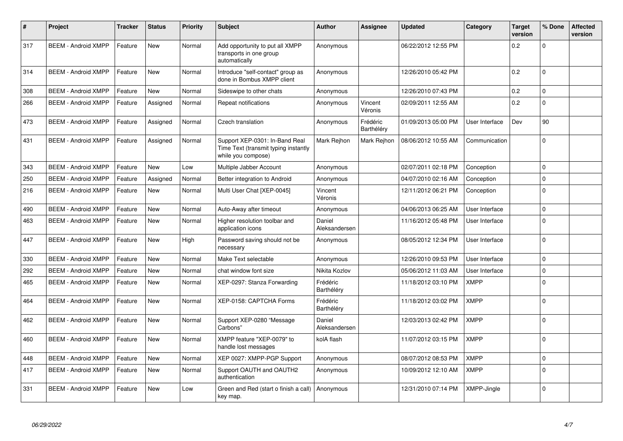| $\pmb{\#}$ | Project                    | <b>Tracker</b> | <b>Status</b> | <b>Priority</b> | <b>Subject</b>                                                                               | <b>Author</b>           | <b>Assignee</b>        | <b>Updated</b>      | Category       | <b>Target</b><br>version | % Done      | <b>Affected</b><br>version |
|------------|----------------------------|----------------|---------------|-----------------|----------------------------------------------------------------------------------------------|-------------------------|------------------------|---------------------|----------------|--------------------------|-------------|----------------------------|
| 317        | <b>BEEM - Android XMPP</b> | Feature        | <b>New</b>    | Normal          | Add opportunity to put all XMPP<br>transports in one group<br>automatically                  | Anonymous               |                        | 06/22/2012 12:55 PM |                | 0.2                      | $\Omega$    |                            |
| 314        | <b>BEEM - Android XMPP</b> | Feature        | <b>New</b>    | Normal          | Introduce "self-contact" group as<br>done in Bombus XMPP client                              | Anonymous               |                        | 12/26/2010 05:42 PM |                | 0.2                      | $\Omega$    |                            |
| 308        | <b>BEEM - Android XMPP</b> | Feature        | <b>New</b>    | Normal          | Sideswipe to other chats                                                                     | Anonymous               |                        | 12/26/2010 07:43 PM |                | 0.2                      | $\Omega$    |                            |
| 266        | <b>BEEM - Android XMPP</b> | Feature        | Assigned      | Normal          | Repeat notifications                                                                         | Anonymous               | Vincent<br>Véronis     | 02/09/2011 12:55 AM |                | 0.2                      | $\Omega$    |                            |
| 473        | <b>BEEM - Android XMPP</b> | Feature        | Assigned      | Normal          | Czech translation                                                                            | Anonymous               | Frédéric<br>Barthéléry | 01/09/2013 05:00 PM | User Interface | Dev                      | 90          |                            |
| 431        | <b>BEEM - Android XMPP</b> | Feature        | Assigned      | Normal          | Support XEP-0301: In-Band Real<br>Time Text (transmit typing instantly<br>while you compose) | Mark Reihon             | Mark Reihon            | 08/06/2012 10:55 AM | Communication  |                          | $\Omega$    |                            |
| 343        | <b>BEEM - Android XMPP</b> | Feature        | <b>New</b>    | Low             | Multiple Jabber Account                                                                      | Anonymous               |                        | 02/07/2011 02:18 PM | Conception     |                          | $\Omega$    |                            |
| 250        | <b>BEEM - Android XMPP</b> | Feature        | Assigned      | Normal          | Better integration to Android                                                                | Anonymous               |                        | 04/07/2010 02:16 AM | Conception     |                          | $\Omega$    |                            |
| 216        | <b>BEEM - Android XMPP</b> | Feature        | <b>New</b>    | Normal          | Multi User Chat [XEP-0045]                                                                   | Vincent<br>Véronis      |                        | 12/11/2012 06:21 PM | Conception     |                          | $\Omega$    |                            |
| 490        | <b>BEEM - Android XMPP</b> | Feature        | <b>New</b>    | Normal          | Auto-Away after timeout                                                                      | Anonymous               |                        | 04/06/2013 06:25 AM | User Interface |                          | $\Omega$    |                            |
| 463        | <b>BEEM - Android XMPP</b> | Feature        | <b>New</b>    | Normal          | Higher resolution toolbar and<br>application icons                                           | Daniel<br>Aleksandersen |                        | 11/16/2012 05:48 PM | User Interface |                          | $\Omega$    |                            |
| 447        | <b>BEEM - Android XMPP</b> | Feature        | <b>New</b>    | High            | Password saving should not be<br>necessary                                                   | Anonymous               |                        | 08/05/2012 12:34 PM | User Interface |                          | $\Omega$    |                            |
| 330        | <b>BEEM - Android XMPP</b> | Feature        | <b>New</b>    | Normal          | Make Text selectable                                                                         | Anonymous               |                        | 12/26/2010 09:53 PM | User Interface |                          | $\Omega$    |                            |
| 292        | <b>BEEM - Android XMPP</b> | Feature        | New           | Normal          | chat window font size                                                                        | Nikita Kozlov           |                        | 05/06/2012 11:03 AM | User Interface |                          | $\mathbf 0$ |                            |
| 465        | <b>BEEM - Android XMPP</b> | Feature        | <b>New</b>    | Normal          | XEP-0297: Stanza Forwarding                                                                  | Frédéric<br>Barthéléry  |                        | 11/18/2012 03:10 PM | XMPP           |                          | $\Omega$    |                            |
| 464        | <b>BEEM - Android XMPP</b> | Feature        | <b>New</b>    | Normal          | XEP-0158: CAPTCHA Forms                                                                      | Frédéric<br>Barthéléry  |                        | 11/18/2012 03:02 PM | <b>XMPP</b>    |                          | $\Omega$    |                            |
| 462        | <b>BEEM - Android XMPP</b> | Feature        | <b>New</b>    | Normal          | Support XEP-0280 "Message<br>Carbons"                                                        | Daniel<br>Aleksandersen |                        | 12/03/2013 02:42 PM | <b>XMPP</b>    |                          | $\Omega$    |                            |
| 460        | <b>BEEM - Android XMPP</b> | Feature        | <b>New</b>    | Normal          | XMPP feature "XEP-0079" to<br>handle lost messages                                           | kolA flash              |                        | 11/07/2012 03:15 PM | <b>XMPP</b>    |                          | $\Omega$    |                            |
| 448        | <b>BEEM - Android XMPP</b> | Feature        | <b>New</b>    | Normal          | XEP 0027: XMPP-PGP Support                                                                   | Anonymous               |                        | 08/07/2012 08:53 PM | <b>XMPP</b>    |                          | $\Omega$    |                            |
| 417        | <b>BEEM - Android XMPP</b> | Feature        | <b>New</b>    | Normal          | Support OAUTH and OAUTH2<br>authentication                                                   | Anonymous               |                        | 10/09/2012 12:10 AM | <b>XMPP</b>    |                          | $\Omega$    |                            |
| 331        | <b>BEEM - Android XMPP</b> | Feature        | <b>New</b>    | Low             | Green and Red (start o finish a call)<br>key map.                                            | Anonymous               |                        | 12/31/2010 07:14 PM | XMPP-Jingle    |                          | $\Omega$    |                            |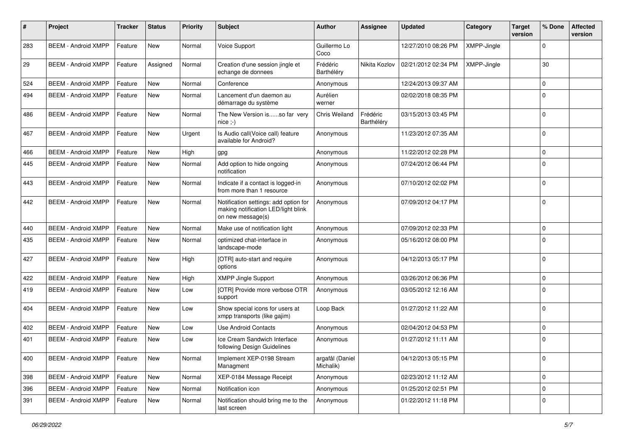| #   | Project                    | <b>Tracker</b> | <b>Status</b> | <b>Priority</b> | <b>Subject</b>                                                                                    | <b>Author</b>                | Assignee               | <b>Updated</b>      | Category    | <b>Target</b><br>version | % Done      | <b>Affected</b><br>version |
|-----|----------------------------|----------------|---------------|-----------------|---------------------------------------------------------------------------------------------------|------------------------------|------------------------|---------------------|-------------|--------------------------|-------------|----------------------------|
| 283 | <b>BEEM - Android XMPP</b> | Feature        | New           | Normal          | Voice Support                                                                                     | Guillermo Lo<br>Coco         |                        | 12/27/2010 08:26 PM | XMPP-Jingle |                          | $\Omega$    |                            |
| 29  | <b>BEEM - Android XMPP</b> | Feature        | Assigned      | Normal          | Creation d'une session jingle et<br>echange de donnees                                            | Frédéric<br>Barthéléry       | Nikita Kozlov          | 02/21/2012 02:34 PM | XMPP-Jingle |                          | 30          |                            |
| 524 | <b>BEEM - Android XMPP</b> | Feature        | <b>New</b>    | Normal          | Conference                                                                                        | Anonymous                    |                        | 12/24/2013 09:37 AM |             |                          | $\Omega$    |                            |
| 494 | <b>BEEM - Android XMPP</b> | Feature        | New           | Normal          | Lancement d'un daemon au<br>démarrage du système                                                  | Aurélien<br>werner           |                        | 02/02/2018 08:35 PM |             |                          | $\Omega$    |                            |
| 486 | <b>BEEM - Android XMPP</b> | Feature        | <b>New</b>    | Normal          | The New Version isso far very<br>$nice$ :-)                                                       | Chris Weiland                | Frédéric<br>Barthéléry | 03/15/2013 03:45 PM |             |                          | $\Omega$    |                            |
| 467 | <b>BEEM - Android XMPP</b> | Feature        | <b>New</b>    | Urgent          | Is Audio call(Voice call) feature<br>available for Android?                                       | Anonymous                    |                        | 11/23/2012 07:35 AM |             |                          | $\Omega$    |                            |
| 466 | <b>BEEM - Android XMPP</b> | Feature        | New           | High            | gpg                                                                                               | Anonymous                    |                        | 11/22/2012 02:28 PM |             |                          | $\Omega$    |                            |
| 445 | <b>BEEM - Android XMPP</b> | Feature        | New           | Normal          | Add option to hide ongoing<br>notification                                                        | Anonymous                    |                        | 07/24/2012 06:44 PM |             |                          | $\Omega$    |                            |
| 443 | <b>BEEM - Android XMPP</b> | Feature        | <b>New</b>    | Normal          | Indicate if a contact is logged-in<br>from more than 1 resource                                   | Anonymous                    |                        | 07/10/2012 02:02 PM |             |                          | $\Omega$    |                            |
| 442 | <b>BEEM - Android XMPP</b> | Feature        | <b>New</b>    | Normal          | Notification settings: add option for<br>making notification LED/light blink<br>on new message(s) | Anonymous                    |                        | 07/09/2012 04:17 PM |             |                          | $\Omega$    |                            |
| 440 | <b>BEEM - Android XMPP</b> | Feature        | <b>New</b>    | Normal          | Make use of notification light                                                                    | Anonymous                    |                        | 07/09/2012 02:33 PM |             |                          | $\Omega$    |                            |
| 435 | <b>BEEM - Android XMPP</b> | Feature        | New           | Normal          | optimized chat-interface in<br>landscape-mode                                                     | Anonymous                    |                        | 05/16/2012 08:00 PM |             |                          | $\Omega$    |                            |
| 427 | <b>BEEM - Android XMPP</b> | Feature        | <b>New</b>    | High            | [OTR] auto-start and require<br>options                                                           | Anonymous                    |                        | 04/12/2013 05:17 PM |             |                          | $\Omega$    |                            |
| 422 | <b>BEEM - Android XMPP</b> | Feature        | <b>New</b>    | High            | <b>XMPP Jingle Support</b>                                                                        | Anonymous                    |                        | 03/26/2012 06:36 PM |             |                          | $\Omega$    |                            |
| 419 | <b>BEEM - Android XMPP</b> | Feature        | <b>New</b>    | Low             | [OTR] Provide more verbose OTR<br>support                                                         | Anonymous                    |                        | 03/05/2012 12:16 AM |             |                          | $\Omega$    |                            |
| 404 | <b>BEEM - Android XMPP</b> | Feature        | <b>New</b>    | Low             | Show special icons for users at<br>xmpp transports (like gajim)                                   | Loop Back                    |                        | 01/27/2012 11:22 AM |             |                          | $\Omega$    |                            |
| 402 | <b>BEEM - Android XMPP</b> | Feature        | <b>New</b>    | Low             | <b>Use Android Contacts</b>                                                                       | Anonymous                    |                        | 02/04/2012 04:53 PM |             |                          | $\Omega$    |                            |
| 401 | <b>BEEM - Android XMPP</b> | Feature        | <b>New</b>    | Low             | Ice Cream Sandwich Interface<br>following Design Guidelines                                       | Anonymous                    |                        | 01/27/2012 11:11 AM |             |                          | $\Omega$    |                            |
| 400 | <b>BEEM - Android XMPP</b> | Feature        | <b>New</b>    | Normal          | Implement XEP-0198 Stream<br>Managment                                                            | argafål (Daniel<br>Michalik) |                        | 04/12/2013 05:15 PM |             |                          | $\mathbf 0$ |                            |
| 398 | <b>BEEM - Android XMPP</b> | Feature        | New           | Normal          | XEP-0184 Message Receipt                                                                          | Anonymous                    |                        | 02/23/2012 11:12 AM |             |                          | $\mathbf 0$ |                            |
| 396 | <b>BEEM - Android XMPP</b> | Feature        | <b>New</b>    | Normal          | Notification icon                                                                                 | Anonymous                    |                        | 01/25/2012 02:51 PM |             |                          | $\mathbf 0$ |                            |
| 391 | <b>BEEM - Android XMPP</b> | Feature        | New           | Normal          | Notification should bring me to the<br>last screen                                                | Anonymous                    |                        | 01/22/2012 11:18 PM |             |                          | $\mathbf 0$ |                            |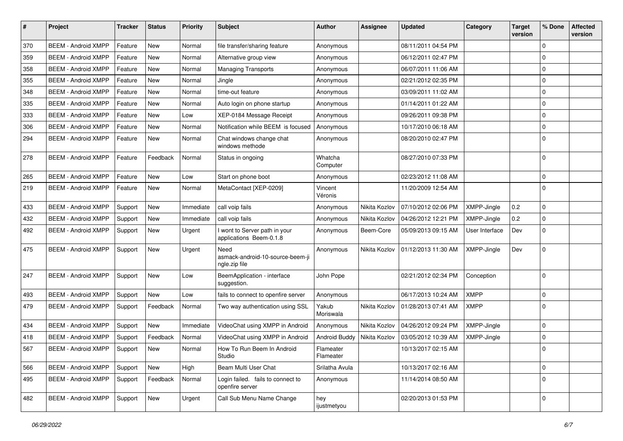| $\#$ | Project                    | <b>Tracker</b> | <b>Status</b> | <b>Priority</b> | Subject                                                   | <b>Author</b>          | <b>Assignee</b> | <b>Updated</b>      | Category       | <b>Target</b><br>version | % Done      | <b>Affected</b><br>version |
|------|----------------------------|----------------|---------------|-----------------|-----------------------------------------------------------|------------------------|-----------------|---------------------|----------------|--------------------------|-------------|----------------------------|
| 370  | <b>BEEM - Android XMPP</b> | Feature        | <b>New</b>    | Normal          | file transfer/sharing feature                             | Anonymous              |                 | 08/11/2011 04:54 PM |                |                          | $\Omega$    |                            |
| 359  | <b>BEEM - Android XMPP</b> | Feature        | New           | Normal          | Alternative group view                                    | Anonymous              |                 | 06/12/2011 02:47 PM |                |                          | $\Omega$    |                            |
| 358  | <b>BEEM - Android XMPP</b> | Feature        | New           | Normal          | <b>Managing Transports</b>                                | Anonymous              |                 | 06/07/2011 11:06 AM |                |                          | $\Omega$    |                            |
| 355  | <b>BEEM - Android XMPP</b> | Feature        | <b>New</b>    | Normal          | Jingle                                                    | Anonymous              |                 | 02/21/2012 02:35 PM |                |                          | $\Omega$    |                            |
| 348  | <b>BEEM - Android XMPP</b> | Feature        | <b>New</b>    | Normal          | time-out feature                                          | Anonymous              |                 | 03/09/2011 11:02 AM |                |                          | $\Omega$    |                            |
| 335  | <b>BEEM - Android XMPP</b> | Feature        | <b>New</b>    | Normal          | Auto login on phone startup                               | Anonymous              |                 | 01/14/2011 01:22 AM |                |                          | $\Omega$    |                            |
| 333  | <b>BEEM - Android XMPP</b> | Feature        | <b>New</b>    | Low             | XEP-0184 Message Receipt                                  | Anonymous              |                 | 09/26/2011 09:38 PM |                |                          | $\mathbf 0$ |                            |
| 306  | <b>BEEM - Android XMPP</b> | Feature        | New           | Normal          | Notification while BEEM is focused                        | Anonymous              |                 | 10/17/2010 06:18 AM |                |                          | $\Omega$    |                            |
| 294  | <b>BEEM - Android XMPP</b> | Feature        | <b>New</b>    | Normal          | Chat windows change chat<br>windows methode               | Anonymous              |                 | 08/20/2010 02:47 PM |                |                          | $\Omega$    |                            |
| 278  | <b>BEEM - Android XMPP</b> | Feature        | Feedback      | Normal          | Status in ongoing                                         | Whatcha<br>Computer    |                 | 08/27/2010 07:33 PM |                |                          | $\Omega$    |                            |
| 265  | <b>BEEM - Android XMPP</b> | Feature        | <b>New</b>    | Low             | Start on phone boot                                       | Anonymous              |                 | 02/23/2012 11:08 AM |                |                          | $\mathbf 0$ |                            |
| 219  | <b>BEEM - Android XMPP</b> | Feature        | New           | Normal          | MetaContact [XEP-0209]                                    | Vincent<br>Véronis     |                 | 11/20/2009 12:54 AM |                |                          | $\Omega$    |                            |
| 433  | <b>BEEM - Android XMPP</b> | Support        | New           | Immediate       | call voip fails                                           | Anonymous              | Nikita Kozlov   | 07/10/2012 02:06 PM | XMPP-Jingle    | 0.2                      | $\Omega$    |                            |
| 432  | <b>BEEM - Android XMPP</b> | Support        | <b>New</b>    | Immediate       | call voip fails                                           | Anonymous              | Nikita Kozlov   | 04/26/2012 12:21 PM | XMPP-Jingle    | 0.2                      | $\Omega$    |                            |
| 492  | <b>BEEM - Android XMPP</b> | Support        | New           | Urgent          | I wont to Server path in your<br>applications Beem-0.1.8  | Anonymous              | Beem-Core       | 05/09/2013 09:15 AM | User Interface | Dev                      | $\Omega$    |                            |
| 475  | <b>BEEM - Android XMPP</b> | Support        | New           | Urgent          | Need<br>asmack-android-10-source-beem-ji<br>ngle.zip file | Anonymous              | Nikita Kozlov   | 01/12/2013 11:30 AM | XMPP-Jingle    | Dev                      | $\Omega$    |                            |
| 247  | <b>BEEM - Android XMPP</b> | Support        | <b>New</b>    | Low             | BeemApplication - interface<br>suggestion.                | John Pope              |                 | 02/21/2012 02:34 PM | Conception     |                          | $\Omega$    |                            |
| 493  | <b>BEEM - Android XMPP</b> | Support        | New           | Low             | fails to connect to openfire server                       | Anonymous              |                 | 06/17/2013 10:24 AM | <b>XMPP</b>    |                          | $\Omega$    |                            |
| 479  | <b>BEEM - Android XMPP</b> | Support        | Feedback      | Normal          | Two way authentication using SSL                          | Yakub<br>Moriswala     | Nikita Kozlov   | 01/28/2013 07:41 AM | <b>XMPP</b>    |                          | $\Omega$    |                            |
| 434  | <b>BEEM - Android XMPP</b> | Support        | New           | Immediate       | VideoChat using XMPP in Android                           | Anonymous              | Nikita Kozlov   | 04/26/2012 09:24 PM | XMPP-Jingle    |                          | $\Omega$    |                            |
| 418  | <b>BEEM - Android XMPP</b> | Support        | Feedback      | Normal          | VideoChat using XMPP in Android                           | <b>Android Buddy</b>   | Nikita Kozlov   | 03/05/2012 10:39 AM | XMPP-Jingle    |                          | $\mathbf 0$ |                            |
| 567  | <b>BEEM - Android XMPP</b> | Support        | New           | Normal          | How To Run Beem In Android<br>Studio                      | Flameater<br>Flameater |                 | 10/13/2017 02:15 AM |                |                          | $\mathbf 0$ |                            |
| 566  | <b>BEEM - Android XMPP</b> | Support        | New           | High            | Beam Multi User Chat                                      | Srilatha Avula         |                 | 10/13/2017 02:16 AM |                |                          | $\mathbf 0$ |                            |
| 495  | <b>BEEM - Android XMPP</b> | Support        | Feedback      | Normal          | Login failed. fails to connect to<br>openfire server      | Anonymous              |                 | 11/14/2014 08:50 AM |                |                          | $\Omega$    |                            |
| 482  | <b>BEEM - Android XMPP</b> | Support        | New           | Urgent          | Call Sub Menu Name Change                                 | hey<br>ijustmetyou     |                 | 02/20/2013 01:53 PM |                |                          | $\Omega$    |                            |